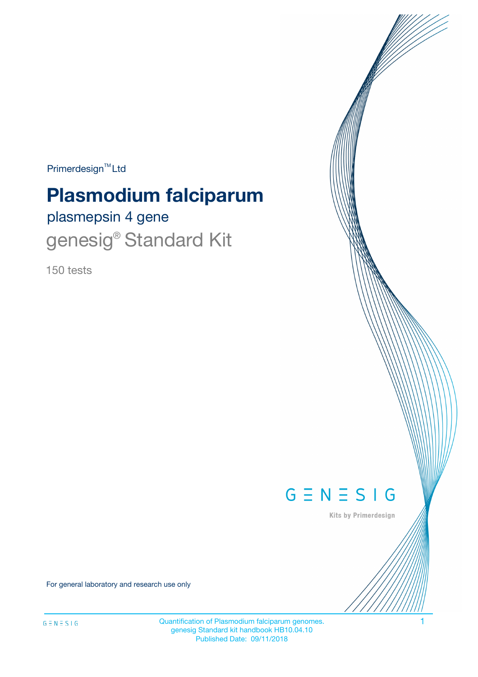$Primerdesign^{\text{TM}}Ltd$ 

# **Plasmodium falciparum**

plasmepsin 4 gene genesig<sup>®</sup> Standard Kit

150 tests



Kits by Primerdesign

For general laboratory and research use only

Quantification of Plasmodium falciparum genomes. 1 genesig Standard kit handbook HB10.04.10 Published Date: 09/11/2018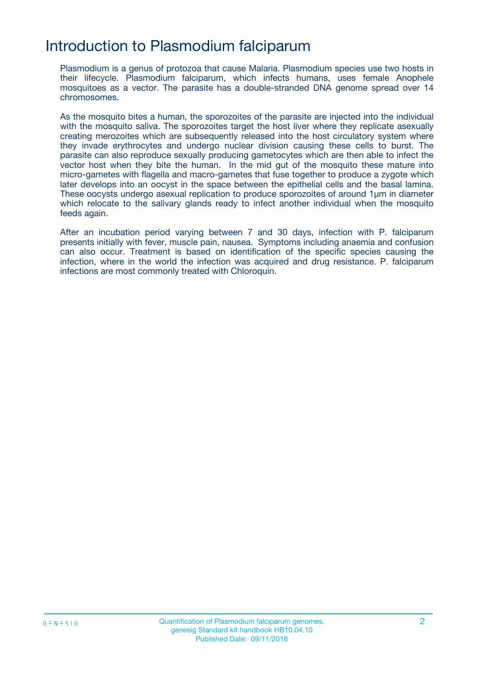### Introduction to Plasmodium falciparum

Plasmodium is a genus of protozoa that cause Malaria. Plasmodium species use two hosts in their lifecycle. Plasmodium falciparum, which infects humans, uses female Anophele mosquitoes as a vector. The parasite has a double-stranded DNA genome spread over 14 chromosomes.

As the mosquito bites a human, the sporozoites of the parasite are injected into the individual with the mosquito saliva. The sporozoites target the host liver where they replicate asexually creating merozoites which are subsequently released into the host circulatory system where they invade erythrocytes and undergo nuclear division causing these cells to burst. The parasite can also reproduce sexually producing gametocytes which are then able to infect the vector host when they bite the human. In the mid gut of the mosquito these mature into micro-gametes with flagella and macro-gametes that fuse together to produce a zygote which later develops into an oocyst in the space between the epithelial cells and the basal lamina. These oocysts undergo asexual replication to produce sporozoites of around 1µm in diameter which relocate to the salivary glands ready to infect another individual when the mosquito feeds again.

After an incubation period varying between 7 and 30 days, infection with P. falciparum presents initially with fever, muscle pain, nausea. Symptoms including anaemia and confusion can also occur. Treatment is based on identification of the specific species causing the infection, where in the world the infection was acquired and drug resistance. P. falciparum infections are most commonly treated with Chloroquin.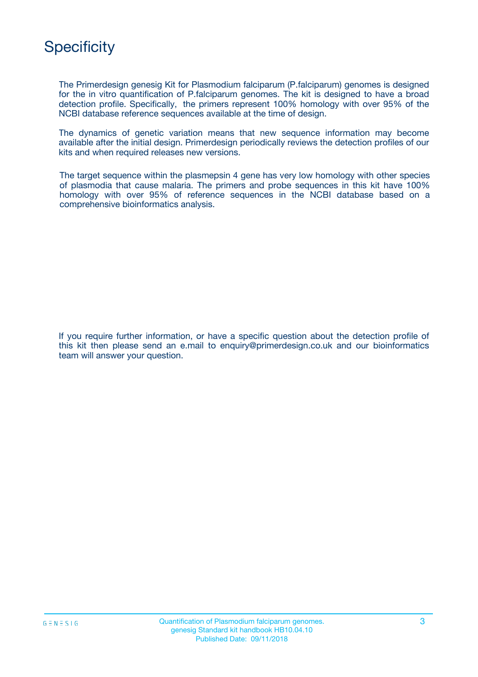# **Specificity**

The Primerdesign genesig Kit for Plasmodium falciparum (P.falciparum) genomes is designed for the in vitro quantification of P.falciparum genomes. The kit is designed to have a broad detection profile. Specifically, the primers represent 100% homology with over 95% of the NCBI database reference sequences available at the time of design.

The dynamics of genetic variation means that new sequence information may become available after the initial design. Primerdesign periodically reviews the detection profiles of our kits and when required releases new versions.

The target sequence within the plasmepsin 4 gene has very low homology with other species of plasmodia that cause malaria. The primers and probe sequences in this kit have 100% homology with over 95% of reference sequences in the NCBI database based on a comprehensive bioinformatics analysis.

If you require further information, or have a specific question about the detection profile of this kit then please send an e.mail to enquiry@primerdesign.co.uk and our bioinformatics team will answer your question.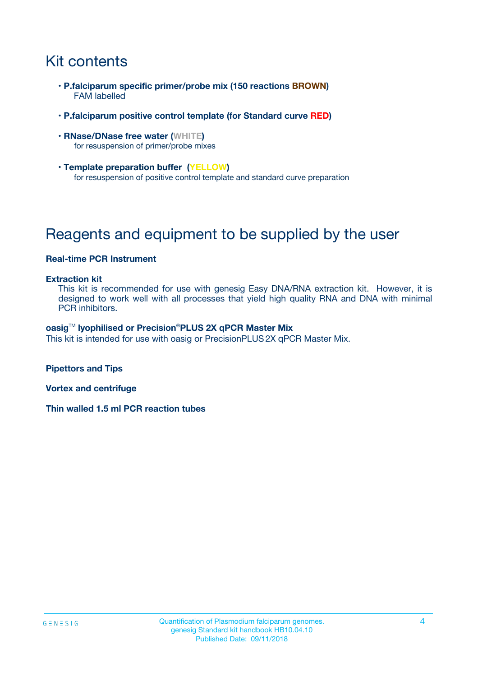# Kit contents

- **P.falciparum specific primer/probe mix (150 reactions BROWN)** FAM labelled
- **P.falciparum positive control template (for Standard curve RED)**
- **RNase/DNase free water (WHITE)** for resuspension of primer/probe mixes
- **Template preparation buffer (YELLOW)** for resuspension of positive control template and standard curve preparation

# Reagents and equipment to be supplied by the user

#### **Real-time PCR Instrument**

#### **Extraction kit**

This kit is recommended for use with genesig Easy DNA/RNA extraction kit. However, it is designed to work well with all processes that yield high quality RNA and DNA with minimal PCR inhibitors.

#### **oasig**TM **lyophilised or Precision**®**PLUS 2X qPCR Master Mix**

This kit is intended for use with oasig or PrecisionPLUS2X qPCR Master Mix.

**Pipettors and Tips**

**Vortex and centrifuge**

**Thin walled 1.5 ml PCR reaction tubes**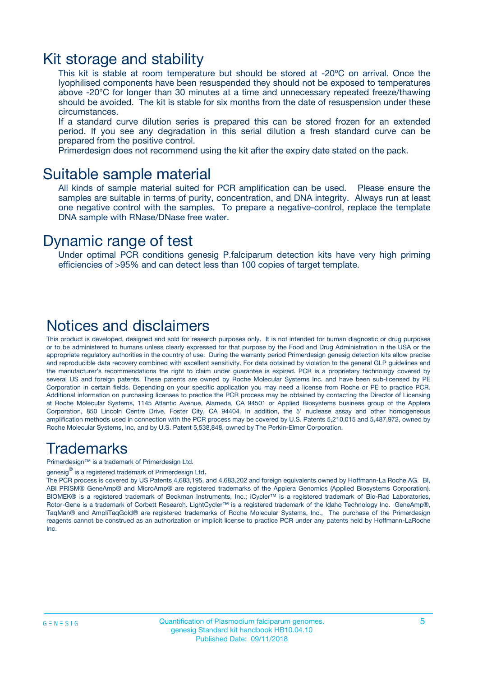### Kit storage and stability

This kit is stable at room temperature but should be stored at -20ºC on arrival. Once the lyophilised components have been resuspended they should not be exposed to temperatures above -20°C for longer than 30 minutes at a time and unnecessary repeated freeze/thawing should be avoided. The kit is stable for six months from the date of resuspension under these circumstances.

If a standard curve dilution series is prepared this can be stored frozen for an extended period. If you see any degradation in this serial dilution a fresh standard curve can be prepared from the positive control.

Primerdesign does not recommend using the kit after the expiry date stated on the pack.

### Suitable sample material

All kinds of sample material suited for PCR amplification can be used. Please ensure the samples are suitable in terms of purity, concentration, and DNA integrity. Always run at least one negative control with the samples. To prepare a negative-control, replace the template DNA sample with RNase/DNase free water.

### Dynamic range of test

Under optimal PCR conditions genesig P.falciparum detection kits have very high priming efficiencies of >95% and can detect less than 100 copies of target template.

### Notices and disclaimers

This product is developed, designed and sold for research purposes only. It is not intended for human diagnostic or drug purposes or to be administered to humans unless clearly expressed for that purpose by the Food and Drug Administration in the USA or the appropriate regulatory authorities in the country of use. During the warranty period Primerdesign genesig detection kits allow precise and reproducible data recovery combined with excellent sensitivity. For data obtained by violation to the general GLP guidelines and the manufacturer's recommendations the right to claim under guarantee is expired. PCR is a proprietary technology covered by several US and foreign patents. These patents are owned by Roche Molecular Systems Inc. and have been sub-licensed by PE Corporation in certain fields. Depending on your specific application you may need a license from Roche or PE to practice PCR. Additional information on purchasing licenses to practice the PCR process may be obtained by contacting the Director of Licensing at Roche Molecular Systems, 1145 Atlantic Avenue, Alameda, CA 94501 or Applied Biosystems business group of the Applera Corporation, 850 Lincoln Centre Drive, Foster City, CA 94404. In addition, the 5' nuclease assay and other homogeneous amplification methods used in connection with the PCR process may be covered by U.S. Patents 5,210,015 and 5,487,972, owned by Roche Molecular Systems, Inc, and by U.S. Patent 5,538,848, owned by The Perkin-Elmer Corporation.

### Trademarks

Primerdesign™ is a trademark of Primerdesign Ltd.

genesig $^\circledR$  is a registered trademark of Primerdesign Ltd.

The PCR process is covered by US Patents 4,683,195, and 4,683,202 and foreign equivalents owned by Hoffmann-La Roche AG. BI, ABI PRISM® GeneAmp® and MicroAmp® are registered trademarks of the Applera Genomics (Applied Biosystems Corporation). BIOMEK® is a registered trademark of Beckman Instruments, Inc.; iCycler™ is a registered trademark of Bio-Rad Laboratories, Rotor-Gene is a trademark of Corbett Research. LightCycler™ is a registered trademark of the Idaho Technology Inc. GeneAmp®, TaqMan® and AmpliTaqGold® are registered trademarks of Roche Molecular Systems, Inc., The purchase of the Primerdesign reagents cannot be construed as an authorization or implicit license to practice PCR under any patents held by Hoffmann-LaRoche Inc.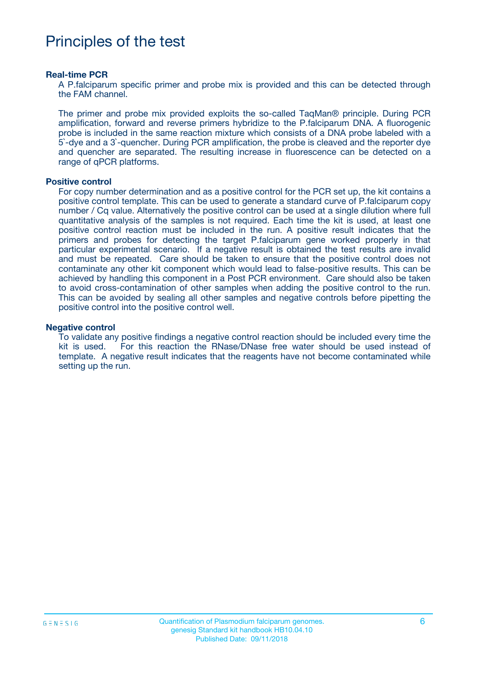## Principles of the test

#### **Real-time PCR**

A P.falciparum specific primer and probe mix is provided and this can be detected through the FAM channel.

The primer and probe mix provided exploits the so-called TaqMan® principle. During PCR amplification, forward and reverse primers hybridize to the P.falciparum DNA. A fluorogenic probe is included in the same reaction mixture which consists of a DNA probe labeled with a 5`-dye and a 3`-quencher. During PCR amplification, the probe is cleaved and the reporter dye and quencher are separated. The resulting increase in fluorescence can be detected on a range of qPCR platforms.

#### **Positive control**

For copy number determination and as a positive control for the PCR set up, the kit contains a positive control template. This can be used to generate a standard curve of P.falciparum copy number / Cq value. Alternatively the positive control can be used at a single dilution where full quantitative analysis of the samples is not required. Each time the kit is used, at least one positive control reaction must be included in the run. A positive result indicates that the primers and probes for detecting the target P.falciparum gene worked properly in that particular experimental scenario. If a negative result is obtained the test results are invalid and must be repeated. Care should be taken to ensure that the positive control does not contaminate any other kit component which would lead to false-positive results. This can be achieved by handling this component in a Post PCR environment. Care should also be taken to avoid cross-contamination of other samples when adding the positive control to the run. This can be avoided by sealing all other samples and negative controls before pipetting the positive control into the positive control well.

#### **Negative control**

To validate any positive findings a negative control reaction should be included every time the kit is used. For this reaction the RNase/DNase free water should be used instead of template. A negative result indicates that the reagents have not become contaminated while setting up the run.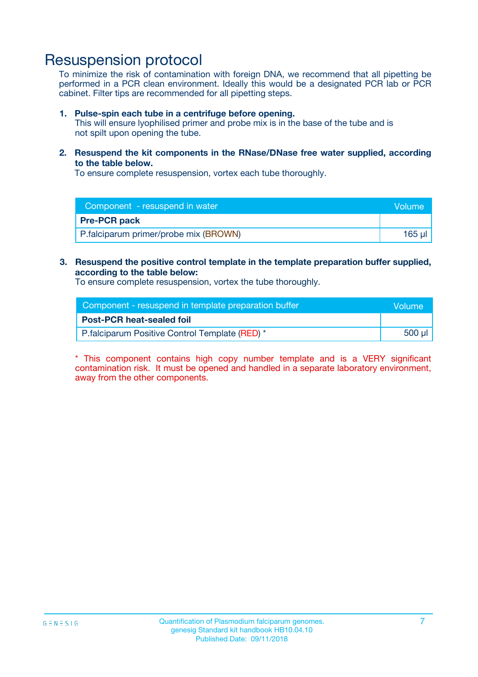### Resuspension protocol

To minimize the risk of contamination with foreign DNA, we recommend that all pipetting be performed in a PCR clean environment. Ideally this would be a designated PCR lab or PCR cabinet. Filter tips are recommended for all pipetting steps.

#### **1. Pulse-spin each tube in a centrifuge before opening.**

This will ensure lyophilised primer and probe mix is in the base of the tube and is not spilt upon opening the tube.

**2. Resuspend the kit components in the RNase/DNase free water supplied, according to the table below.**

To ensure complete resuspension, vortex each tube thoroughly.

| Component - resuspend in water        | Volume |
|---------------------------------------|--------|
| <b>Pre-PCR pack</b>                   |        |
| P.falciparum primer/probe mix (BROWN) | 165 ul |

#### **3. Resuspend the positive control template in the template preparation buffer supplied, according to the table below:**

To ensure complete resuspension, vortex the tube thoroughly.

| Component - resuspend in template preparation buffer |        |  |
|------------------------------------------------------|--------|--|
| <b>Post-PCR heat-sealed foil</b>                     |        |  |
| P. falciparum Positive Control Template (RED) *      | 500 µl |  |

\* This component contains high copy number template and is a VERY significant contamination risk. It must be opened and handled in a separate laboratory environment, away from the other components.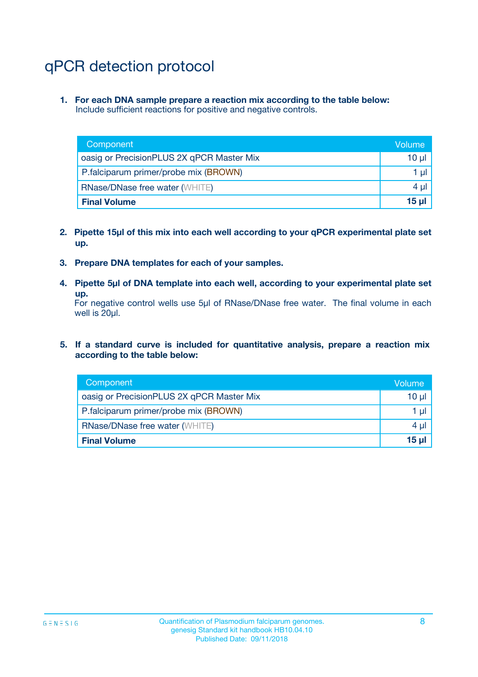# qPCR detection protocol

**1. For each DNA sample prepare a reaction mix according to the table below:** Include sufficient reactions for positive and negative controls.

| Component                                 | Volume       |
|-------------------------------------------|--------------|
| oasig or PrecisionPLUS 2X qPCR Master Mix | 10 $\mu$     |
| P.falciparum primer/probe mix (BROWN)     | 1 $\mu$      |
| <b>RNase/DNase free water (WHITE)</b>     | $4 \mu$      |
| <b>Final Volume</b>                       | <b>15 ul</b> |

- **2. Pipette 15µl of this mix into each well according to your qPCR experimental plate set up.**
- **3. Prepare DNA templates for each of your samples.**
- **4. Pipette 5µl of DNA template into each well, according to your experimental plate set up.**

For negative control wells use 5µl of RNase/DNase free water. The final volume in each well is 20µl.

**5. If a standard curve is included for quantitative analysis, prepare a reaction mix according to the table below:**

| Component                                 | Volume   |
|-------------------------------------------|----------|
| oasig or PrecisionPLUS 2X qPCR Master Mix | 10 µl    |
| P.falciparum primer/probe mix (BROWN)     | 1 µI     |
| <b>RNase/DNase free water (WHITE)</b>     | $4 \mu$  |
| <b>Final Volume</b>                       | $15 \mu$ |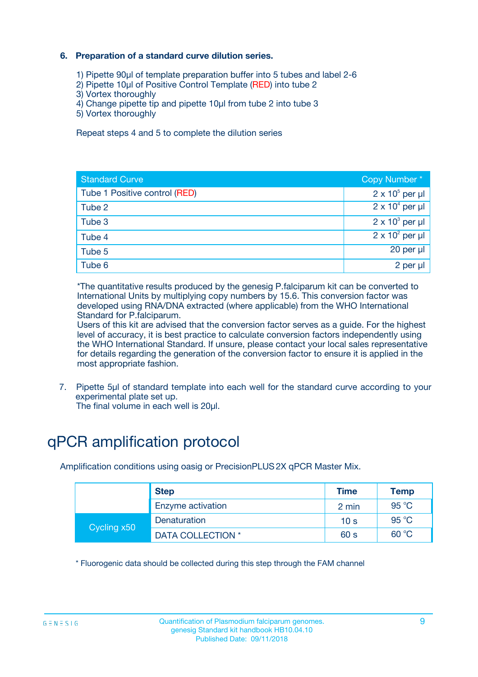### **6. Preparation of a standard curve dilution series.**

- 1) Pipette 90µl of template preparation buffer into 5 tubes and label 2-6
- 2) Pipette 10µl of Positive Control Template (RED) into tube 2
- 3) Vortex thoroughly
- 4) Change pipette tip and pipette 10µl from tube 2 into tube 3
- 5) Vortex thoroughly

Repeat steps 4 and 5 to complete the dilution series

| <b>Standard Curve</b>         | Copy Number*           |
|-------------------------------|------------------------|
| Tube 1 Positive control (RED) | $2 \times 10^5$ per µl |
| Tube 2                        | $2 \times 10^4$ per µl |
| Tube 3                        | $2 \times 10^3$ per µl |
| Tube 4                        | $2 \times 10^2$ per µl |
| Tube 5                        | 20 per µl              |
| Tube 6                        | 2 per µl               |

\*The quantitative results produced by the genesig P.falciparum kit can be converted to International Units by multiplying copy numbers by 15.6. This conversion factor was developed using RNA/DNA extracted (where applicable) from the WHO International Standard for P.falciparum.

Users of this kit are advised that the conversion factor serves as a guide. For the highest level of accuracy, it is best practice to calculate conversion factors independently using the WHO International Standard. If unsure, please contact your local sales representative for details regarding the generation of the conversion factor to ensure it is applied in the most appropriate fashion.

7. Pipette 5µl of standard template into each well for the standard curve according to your experimental plate set up.

The final volume in each well is 20µl.

# qPCR amplification protocol

Amplification conditions using oasig or PrecisionPLUS2X qPCR Master Mix.

| <b>Step</b> |                   | <b>Time</b>     | <b>Temp</b> |
|-------------|-------------------|-----------------|-------------|
|             | Enzyme activation | 2 min           | 95 °C       |
| Cycling x50 | Denaturation      | 10 <sub>s</sub> | 95 $°C$     |
|             | DATA COLLECTION * | 60 s            | 60 °C       |

\* Fluorogenic data should be collected during this step through the FAM channel